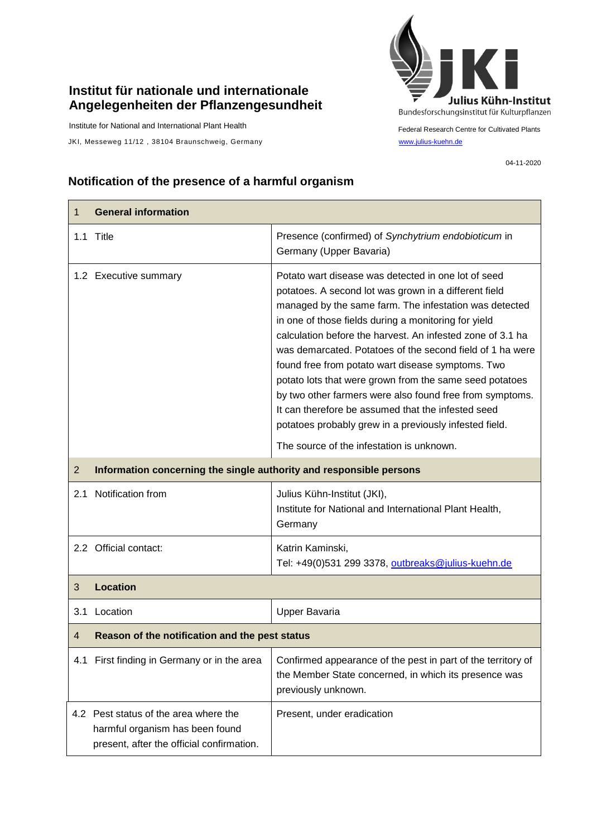## **Institut für nationale und internationale Angelegenheiten der Pflanzengesundheit**

Institute for National and International Plant Health

JKI, Messeweg 11/12, 38104 Braunschweig, Germany [www.julius-kuehn.de](http://www.julius-kuehn.de/)



Federal Research Centre for Cultivated Plants

04-11-2020

## **Notification of the presence of a harmful organism**

| 1              | <b>General information</b>                                                                                            |                                                                                                                                                                                                                                                                                                                                                                                                                                                                                                                                                                                                                                                                                                    |  |
|----------------|-----------------------------------------------------------------------------------------------------------------------|----------------------------------------------------------------------------------------------------------------------------------------------------------------------------------------------------------------------------------------------------------------------------------------------------------------------------------------------------------------------------------------------------------------------------------------------------------------------------------------------------------------------------------------------------------------------------------------------------------------------------------------------------------------------------------------------------|--|
|                | 1.1 Title                                                                                                             | Presence (confirmed) of Synchytrium endobioticum in<br>Germany (Upper Bavaria)                                                                                                                                                                                                                                                                                                                                                                                                                                                                                                                                                                                                                     |  |
|                | 1.2 Executive summary                                                                                                 | Potato wart disease was detected in one lot of seed<br>potatoes. A second lot was grown in a different field<br>managed by the same farm. The infestation was detected<br>in one of those fields during a monitoring for yield<br>calculation before the harvest. An infested zone of 3.1 ha<br>was demarcated. Potatoes of the second field of 1 ha were<br>found free from potato wart disease symptoms. Two<br>potato lots that were grown from the same seed potatoes<br>by two other farmers were also found free from symptoms.<br>It can therefore be assumed that the infested seed<br>potatoes probably grew in a previously infested field.<br>The source of the infestation is unknown. |  |
| $\overline{2}$ | Information concerning the single authority and responsible persons                                                   |                                                                                                                                                                                                                                                                                                                                                                                                                                                                                                                                                                                                                                                                                                    |  |
|                | 2.1 Notification from                                                                                                 | Julius Kühn-Institut (JKI),<br>Institute for National and International Plant Health,<br>Germany                                                                                                                                                                                                                                                                                                                                                                                                                                                                                                                                                                                                   |  |
|                | 2.2 Official contact:                                                                                                 | Katrin Kaminski,<br>Tel: +49(0)531 299 3378, outbreaks@julius-kuehn.de                                                                                                                                                                                                                                                                                                                                                                                                                                                                                                                                                                                                                             |  |
| 3              | <b>Location</b>                                                                                                       |                                                                                                                                                                                                                                                                                                                                                                                                                                                                                                                                                                                                                                                                                                    |  |
| 3.1            | Location                                                                                                              | Upper Bavaria                                                                                                                                                                                                                                                                                                                                                                                                                                                                                                                                                                                                                                                                                      |  |
| 4              | Reason of the notification and the pest status                                                                        |                                                                                                                                                                                                                                                                                                                                                                                                                                                                                                                                                                                                                                                                                                    |  |
|                | 4.1 First finding in Germany or in the area                                                                           | Confirmed appearance of the pest in part of the territory of<br>the Member State concerned, in which its presence was<br>previously unknown.                                                                                                                                                                                                                                                                                                                                                                                                                                                                                                                                                       |  |
|                | 4.2 Pest status of the area where the<br>harmful organism has been found<br>present, after the official confirmation. | Present, under eradication                                                                                                                                                                                                                                                                                                                                                                                                                                                                                                                                                                                                                                                                         |  |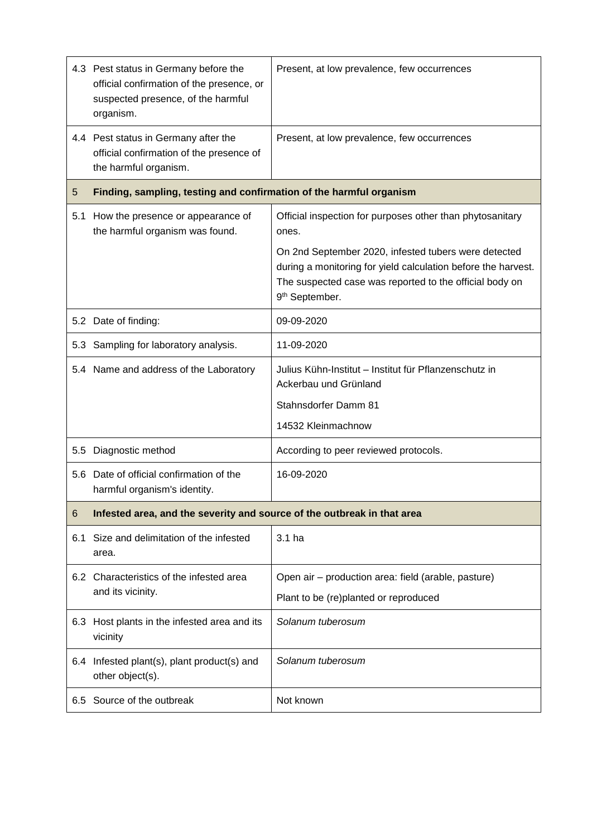|     | 4.3 Pest status in Germany before the<br>official confirmation of the presence, or<br>suspected presence, of the harmful<br>organism. | Present, at low prevalence, few occurrences                                                                                                                                                                    |  |
|-----|---------------------------------------------------------------------------------------------------------------------------------------|----------------------------------------------------------------------------------------------------------------------------------------------------------------------------------------------------------------|--|
|     | 4.4 Pest status in Germany after the<br>official confirmation of the presence of<br>the harmful organism.                             | Present, at low prevalence, few occurrences                                                                                                                                                                    |  |
| 5   | Finding, sampling, testing and confirmation of the harmful organism                                                                   |                                                                                                                                                                                                                |  |
| 5.1 | How the presence or appearance of<br>the harmful organism was found.                                                                  | Official inspection for purposes other than phytosanitary<br>ones.                                                                                                                                             |  |
|     |                                                                                                                                       | On 2nd September 2020, infested tubers were detected<br>during a monitoring for yield calculation before the harvest.<br>The suspected case was reported to the official body on<br>9 <sup>th</sup> September. |  |
|     | 5.2 Date of finding:                                                                                                                  | 09-09-2020                                                                                                                                                                                                     |  |
|     | 5.3 Sampling for laboratory analysis.                                                                                                 | 11-09-2020                                                                                                                                                                                                     |  |
|     | 5.4 Name and address of the Laboratory                                                                                                | Julius Kühn-Institut - Institut für Pflanzenschutz in<br>Ackerbau und Grünland                                                                                                                                 |  |
|     |                                                                                                                                       | Stahnsdorfer Damm 81                                                                                                                                                                                           |  |
|     |                                                                                                                                       | 14532 Kleinmachnow                                                                                                                                                                                             |  |
| 5.5 | Diagnostic method                                                                                                                     | According to peer reviewed protocols.                                                                                                                                                                          |  |
| 5.6 | Date of official confirmation of the<br>harmful organism's identity.                                                                  | 16-09-2020                                                                                                                                                                                                     |  |
| 6   | Infested area, and the severity and source of the outbreak in that area                                                               |                                                                                                                                                                                                                |  |
| 6.1 | Size and delimitation of the infested<br>area.                                                                                        | 3.1 ha                                                                                                                                                                                                         |  |
|     | 6.2 Characteristics of the infested area                                                                                              | Open air – production area: field (arable, pasture)                                                                                                                                                            |  |
|     | and its vicinity.                                                                                                                     | Plant to be (re)planted or reproduced                                                                                                                                                                          |  |
|     | 6.3 Host plants in the infested area and its<br>vicinity                                                                              | Solanum tuberosum                                                                                                                                                                                              |  |
|     | 6.4 Infested plant(s), plant product(s) and<br>other object(s).                                                                       | Solanum tuberosum                                                                                                                                                                                              |  |
|     | 6.5 Source of the outbreak                                                                                                            | Not known                                                                                                                                                                                                      |  |